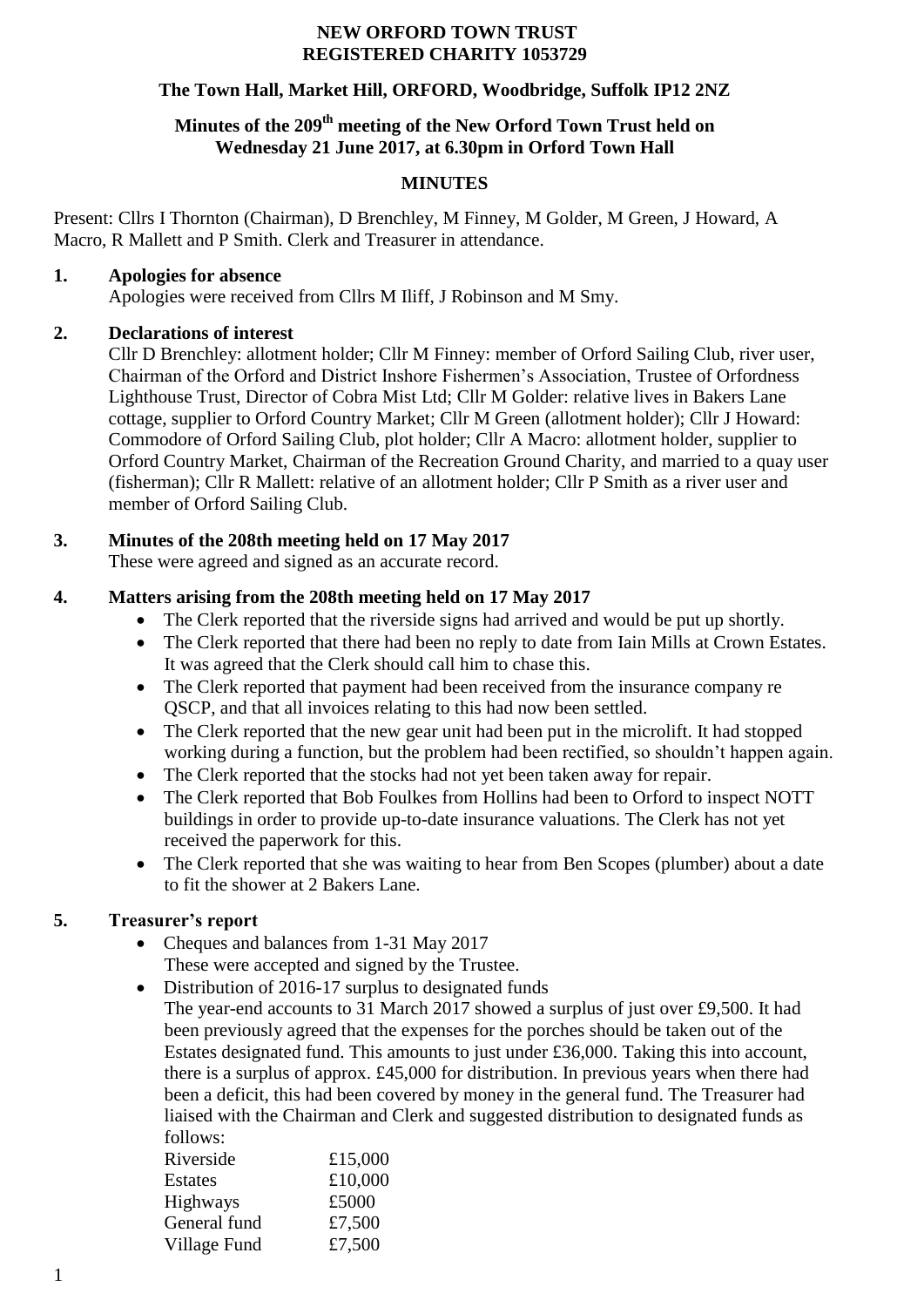#### **NEW ORFORD TOWN TRUST REGISTERED CHARITY 1053729**

### **The Town Hall, Market Hill, ORFORD, Woodbridge, Suffolk IP12 2NZ**

## **Minutes of the 209 th meeting of the New Orford Town Trust held on Wednesday 21 June 2017, at 6.30pm in Orford Town Hall**

### **MINUTES**

Present: Cllrs I Thornton (Chairman), D Brenchley, M Finney, M Golder, M Green, J Howard, A Macro, R Mallett and P Smith. Clerk and Treasurer in attendance.

### **1. Apologies for absence**

Apologies were received from Cllrs M Iliff, J Robinson and M Smy.

## **2. Declarations of interest**

Cllr D Brenchley: allotment holder; Cllr M Finney: member of Orford Sailing Club, river user, Chairman of the Orford and District Inshore Fishermen's Association, Trustee of Orfordness Lighthouse Trust, Director of Cobra Mist Ltd; Cllr M Golder: relative lives in Bakers Lane cottage, supplier to Orford Country Market; Cllr M Green (allotment holder); Cllr J Howard: Commodore of Orford Sailing Club, plot holder; Cllr A Macro: allotment holder, supplier to Orford Country Market, Chairman of the Recreation Ground Charity, and married to a quay user (fisherman); Cllr R Mallett: relative of an allotment holder; Cllr P Smith as a river user and member of Orford Sailing Club.

# **3. Minutes of the 208th meeting held on 17 May 2017**

These were agreed and signed as an accurate record.

# **4. Matters arising from the 208th meeting held on 17 May 2017**

- The Clerk reported that the riverside signs had arrived and would be put up shortly.
- The Clerk reported that there had been no reply to date from Iain Mills at Crown Estates. It was agreed that the Clerk should call him to chase this.
- The Clerk reported that payment had been received from the insurance company re QSCP, and that all invoices relating to this had now been settled.
- The Clerk reported that the new gear unit had been put in the microlift. It had stopped working during a function, but the problem had been rectified, so shouldn't happen again.
- The Clerk reported that the stocks had not yet been taken away for repair.
- The Clerk reported that Bob Foulkes from Hollins had been to Orford to inspect NOTT buildings in order to provide up-to-date insurance valuations. The Clerk has not yet received the paperwork for this.
- The Clerk reported that she was waiting to hear from Ben Scopes (plumber) about a date to fit the shower at 2 Bakers Lane.

# **5. Treasurer's report**

• Cheques and balances from 1-31 May 2017

These were accepted and signed by the Trustee.

• Distribution of 2016-17 surplus to designated funds

The year-end accounts to 31 March 2017 showed a surplus of just over £9,500. It had been previously agreed that the expenses for the porches should be taken out of the Estates designated fund. This amounts to just under £36,000. Taking this into account, there is a surplus of approx. £45,000 for distribution. In previous years when there had been a deficit, this had been covered by money in the general fund. The Treasurer had liaised with the Chairman and Clerk and suggested distribution to designated funds as follows:

| Riverside       | £15,000 |
|-----------------|---------|
| Estates         | £10,000 |
| <b>Highways</b> | £5000   |
| General fund    | £7,500  |
| Village Fund    | £7,500  |